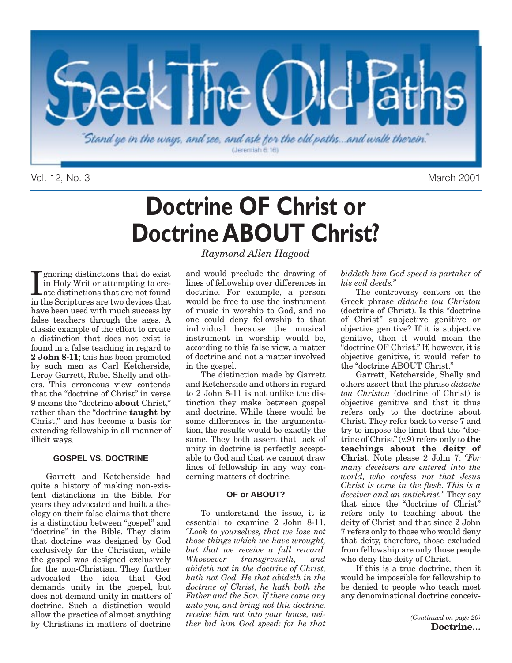

Vol. 12, No. 3 March 2001

# **Doctrine OF Christ or Doctrine ABOUT Christ?**

I gnoring distinctions that do exist<br>in Holy Writ or attempting to cre-<br>ate distinctions that are not found<br>in the Scriptures are two devices that gnoring distinctions that do exist in Holy Writ or attempting to cre-Late distinctions that are not found have been used with much success by false teachers through the ages. A classic example of the effort to create a distinction that does not exist is found in a false teaching in regard to **2 John 8-11**; this has been promoted by such men as Carl Ketcherside, Leroy Garrett, Rubel Shelly and others. This erroneous view contends that the "doctrine of Christ" in verse 9 means the "doctrine **about** Christ," rather than the "doctrine **taught by** Christ," and has become a basis for extending fellowship in all manner of illicit ways.

### **GOSPEL VS. DOCTRINE**

Garrett and Ketcherside had quite a history of making non-existent distinctions in the Bible. For years they advocated and built a theology on their false claims that there is a distinction between "gospel" and "doctrine" in the Bible. They claim that doctrine was designed by God exclusively for the Christian, while the gospel was designed exclusively for the non-Christian. They further advocated the idea that God demands unity in the gospel, but does not demand unity in matters of doctrine. Such a distinction would allow the practice of almost anything by Christians in matters of doctrine

*Raymond Allen Hagood* 

and would preclude the drawing of lines of fellowship over differences in doctrine. For example, a person would be free to use the instrument of music in worship to God, and no one could deny fellowship to that individual because the musical instrument in worship would be, according to this false view, a matter of doctrine and not a matter involved in the gospel.

The distinction made by Garrett and Ketcherside and others in regard to 2 John 8-11 is not unlike the distinction they make between gospel and doctrine. While there would be some differences in the argumentation, the results would be exactly the same. They both assert that lack of unity in doctrine is perfectly acceptable to God and that we cannot draw lines of fellowship in any way concerning matters of doctrine.

### **OF or ABOUT?**

To understand the issue, it is essential to examine 2 John 8-11. *"Look to yourselves, that we lose not those things which we have wrought, but that we receive a full reward. Whosoever transgresseth, and abideth not in the doctrine of Christ, hath not God. He that abideth in the doctrine of Christ, he hath both the Father and the Son. If there come any unto you, and bring not this doctrine, receive him not into your house, neither bid him God speed: for he that*

### *biddeth him God speed is partaker of his evil deeds."*

The controversy centers on the Greek phrase *didache tou Christou* (doctrine of Christ). Is this "doctrine of Christ" subjective genitive or objective genitive? If it is subjective genitive, then it would mean the "doctrine OF Christ." If, however, it is objective genitive, it would refer to the "doctrine ABOUT Christ."

Garrett, Ketcherside, Shelly and others assert that the phrase *didache tou Christou* (doctrine of Christ) is objective genitive and that it thus refers only to the doctrine about Christ. They refer back to verse 7 and try to impose the limit that the "doctrine of Christ" (v.9) refers only to **the teachings about the deity of Christ**. Note please 2 John 7: *"For many deceivers are entered into the world, who confess not that Jesus Christ is come in the flesh. This is a deceiver and an antichrist."* They say that since the "doctrine of Christ" refers only to teaching about the deity of Christ and that since 2 John 7 refers only to those who would deny that deity, therefore, those excluded from fellowship are only those people who deny the deity of Christ.

If this is a true doctrine, then it would be impossible for fellowship to be denied to people who teach most any denominational doctrine conceiv-

> *(Continued on page 20)* **Doctrine…**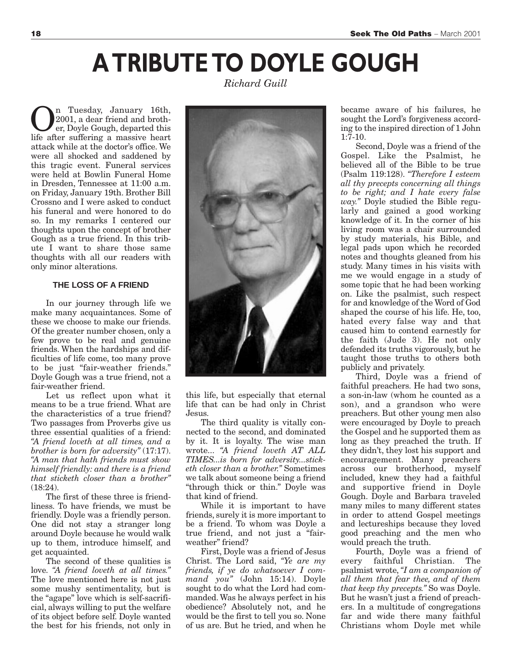# **A TRIBUTE TO DOYLE GOUGH**

*Richard Guill* 

n Tuesday, January 16th, 2001, a dear friend and brother, Doyle Gough, departed this life after suffering a massive heart attack while at the doctor's office. We were all shocked and saddened by this tragic event. Funeral services were held at Bowlin Funeral Home in Dresden, Tennessee at 11:00 a.m. on Friday, January 19th. Brother Bill Crossno and I were asked to conduct his funeral and were honored to do so. In my remarks I centered our thoughts upon the concept of brother Gough as a true friend. In this tribute I want to share those same thoughts with all our readers with only minor alterations.

### **THE LOSS OF A FRIEND**

In our journey through life we make many acquaintances. Some of these we choose to make our friends. Of the greater number chosen, only a few prove to be real and genuine friends. When the hardships and difficulties of life come, too many prove to be just "fair-weather friends." Doyle Gough was a true friend, not a fair-weather friend.

Let us reflect upon what it means to be a true friend. What are the characteristics of a true friend? Two passages from Proverbs give us three essential qualities of a friend: *"A friend loveth at all times, and a brother is born for adversity"* (17:17). *"A man that hath friends must show himself friendly: and there is a friend that sticketh closer than a brother"* (18:24).

The first of these three is friendliness. To have friends, we must be friendly. Doyle was a friendly person. One did not stay a stranger long around Doyle because he would walk up to them, introduce himself, and get acquainted.

The second of these qualities is love. *"A friend loveth at all times."* The love mentioned here is not just some mushy sentimentality, but is the "agape" love which is self-sacrificial, always willing to put the welfare of its object before self. Doyle wanted the best for his friends, not only in



this life, but especially that eternal life that can be had only in Christ Jesus.

The third quality is vitally connected to the second, and dominated by it. It is loyalty. The wise man wrote... *"A friend loveth AT ALL TIMES...is born for adversity...sticketh closer than a brother."* Sometimes we talk about someone being a friend "through thick or thin." Doyle was that kind of friend.

While it is important to have friends, surely it is more important to be a friend. To whom was Doyle a true friend, and not just a "fairweather" friend?

First, Doyle was a friend of Jesus Christ. The Lord said, *"Ye are my friends, if ye do whatsoever I command you"* (John 15:14). Doyle sought to do what the Lord had commanded. Was he always perfect in his obedience? Absolutely not, and he would be the first to tell you so. None of us are. But he tried, and when he

became aware of his failures, he sought the Lord's forgiveness according to the inspired direction of 1 John  $1:7-10.$ 

Second, Doyle was a friend of the Gospel. Like the Psalmist, he believed all of the Bible to be true (Psalm 119:128). *"Therefore I esteem all thy precepts concerning all things to be right; and I hate every false way."* Doyle studied the Bible regularly and gained a good working knowledge of it. In the corner of his living room was a chair surrounded by study materials, his Bible, and legal pads upon which he recorded notes and thoughts gleaned from his study. Many times in his visits with me we would engage in a study of some topic that he had been working on. Like the psalmist, such respect for and knowledge of the Word of God shaped the course of his life. He, too, hated every false way and that caused him to contend earnestly for the faith (Jude 3). He not only defended its truths vigorously, but he taught those truths to others both publicly and privately.

Third, Doyle was a friend of faithful preachers. He had two sons, a son-in-law (whom he counted as a son), and a grandson who were preachers. But other young men also were encouraged by Doyle to preach the Gospel and he supported them as long as they preached the truth. If they didn't, they lost his support and encouragement. Many preachers across our brotherhood, myself included, knew they had a faithful and supportive friend in Doyle Gough. Doyle and Barbara traveled many miles to many different states in order to attend Gospel meetings and lectureships because they loved good preaching and the men who would preach the truth.

Fourth, Doyle was a friend of every faithful Christian. The psalmist wrote, *"I am a companion of all them that fear thee, and of them that keep thy precepts."* So was Doyle. But he wasn't just a friend of preachers. In a multitude of congregations far and wide there many faithful Christians whom Doyle met while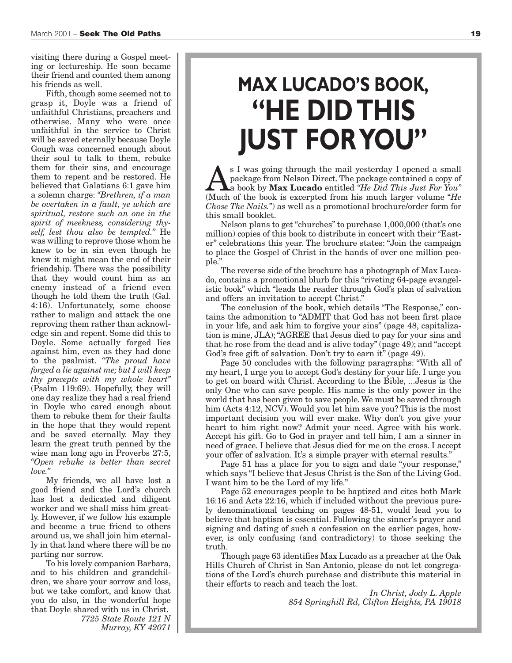visiting there during a Gospel meeting or lectureship. He soon became their friend and counted them among his friends as well.

Fifth, though some seemed not to grasp it, Doyle was a friend of unfaithful Christians, preachers and otherwise. Many who were once unfaithful in the service to Christ will be saved eternally because Doyle Gough was concerned enough about their soul to talk to them, rebuke them for their sins, and encourage them to repent and be restored. He believed that Galatians 6:1 gave him a solemn charge: *"Brethren, if a man be overtaken in a fault, ye which are spiritual, restore such an one in the spirit of meekness, considering thyself, lest thou also be tempted."* He was willing to reprove those whom he knew to be in sin even though he knew it might mean the end of their friendship. There was the possibility that they would count him as an enemy instead of a friend even though he told them the truth (Gal. 4:16). Unfortunately, some choose rather to malign and attack the one reproving them rather than acknowledge sin and repent. Some did this to Doyle. Some actually forged lies against him, even as they had done to the psalmist. *"The proud have forged a lie against me; but I will keep thy precepts with my whole heart"* (Psalm 119:69). Hopefully, they will one day realize they had a real friend in Doyle who cared enough about them to rebuke them for their faults in the hope that they would repent and be saved eternally. May they learn the great truth penned by the wise man long ago in Proverbs 27:5, *"Open rebuke is better than secret love."*

My friends, we all have lost a good friend and the Lord's church has lost a dedicated and diligent worker and we shall miss him greatly. However, if we follow his example and become a true friend to others around us, we shall join him eternally in that land where there will be no parting nor sorrow.

To his lovely companion Barbara, and to his children and grandchildren, we share your sorrow and loss, but we take comfort, and know that you do also, in the wonderful hope that Doyle shared with us in Christ.

*7725 State Route 121 N Murray, KY 42071* 

# **MAX LUCADO'S BOOK, "HE DID THIS JUST FOR YOU"**

**As I** was going through the mail yesterday I opened a small<br>package from Nelson Direct. The package contained a copy of<br>a book by **Max Lucado** entitled *"He Did This Just For You"*<br>(Much of the book is excerted from his m package from Nelson Direct. The package contained a copy of (Much of the book is excerpted from his much larger volume "*He Chose The Nails."*) as well as a promotional brochure/order form for this small booklet.

Nelson plans to get "churches" to purchase 1,000,000 (that's one million) copies of this book to distribute in concert with their "Easter" celebrations this year. The brochure states: "Join the campaign to place the Gospel of Christ in the hands of over one million people."

The reverse side of the brochure has a photograph of Max Lucado, contains a promotional blurb for this "riveting 64-page evangelistic book" which "leads the reader through God's plan of salvation and offers an invitation to accept Christ."

The conclusion of the book, which details "The Response," contains the admonition to "ADMIT that God has not been first place in your life, and ask him to forgive your sins" (page 48, capitalization is mine, JLA); "AGREE that Jesus died to pay for your sins and that he rose from the dead and is alive today" (page 49); and "accept God's free gift of salvation. Don't try to earn it" (page 49).

Page 50 concludes with the following paragraphs: "With all of my heart, I urge you to accept God's destiny for your life. I urge you to get on board with Christ. According to the Bible, ...Jesus is the only One who can save people. His name is the only power in the world that has been given to save people. We must be saved through him (Acts 4:12, NCV). Would you let him save you? This is the most important decision you will ever make. Why don't you give your heart to him right now? Admit your need. Agree with his work. Accept his gift. Go to God in prayer and tell him, I am a sinner in need of grace. I believe that Jesus died for me on the cross. I accept your offer of salvation. It's a simple prayer with eternal results."

Page 51 has a place for you to sign and date "your response," which says "I believe that Jesus Christ is the Son of the Living God. I want him to be the Lord of my life."

Page 52 encourages people to be baptized and cites both Mark 16:16 and Acts 22:16, which if included without the previous purely denominational teaching on pages 48-51, would lead you to believe that baptism is essential. Following the sinner's prayer and signing and dating of such a confession on the earlier pages, however, is only confusing (and contradictory) to those seeking the truth.

Though page 63 identifies Max Lucado as a preacher at the Oak Hills Church of Christ in San Antonio, please do not let congregations of the Lord's church purchase and distribute this material in their efforts to reach and teach the lost.

> *In Christ, Jody L. Apple 854 Springhill Rd, Clifton Heights, PA 19018*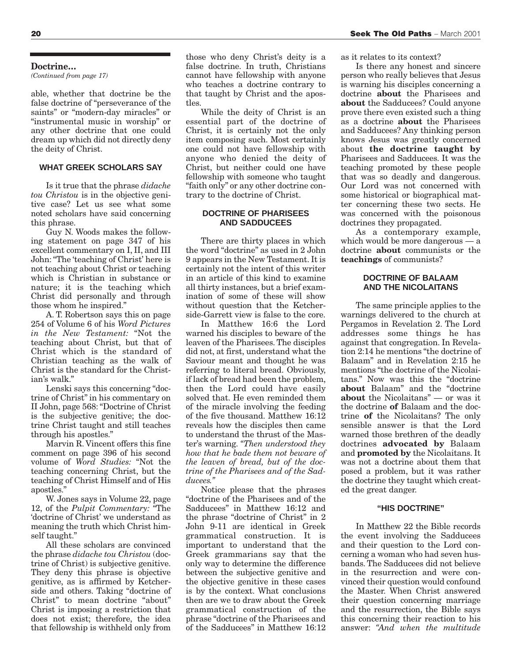#### **Doctrine…**

*(Continued from page 17)*

able, whether that doctrine be the false doctrine of "perseverance of the saints" or "modern-day miracles" or "instrumental music in worship" or any other doctrine that one could dream up which did not directly deny the deity of Christ.

#### **WHAT GREEK SCHOLARS SAY**

Is it true that the phrase *didache tou Christou* is in the objective genitive case? Let us see what some noted scholars have said concerning this phrase.

Guy N. Woods makes the following statement on page 347 of his excellent commentary on I, II, and III John: "The 'teaching of Christ' here is not teaching about Christ or teaching which is Christian in substance or nature; it is the teaching which Christ did personally and through those whom he inspired."

A. T. Robertson says this on page 254 of Volume 6 of his *Word Pictures in the New Testament:* "Not the teaching about Christ, but that of Christ which is the standard of Christian teaching as the walk of Christ is the standard for the Christian's walk."

Lenski says this concerning "doctrine of Christ" in his commentary on II John, page 568: "Doctrine of Christ is the subjective genitive; the doctrine Christ taught and still teaches through his apostles."

Marvin R. Vincent offers this fine comment on page 396 of his second volume of *Word Studies:* "Not the teaching concerning Christ, but the teaching of Christ Himself and of His apostles."

W. Jones says in Volume 22, page 12, of the *Pulpit Commentary:* "The 'doctrine of Christ' we understand as meaning the truth which Christ himself taught."

All these scholars are convinced the phrase *didache tou Christou* (doctrine of Christ) is subjective genitive. They deny this phrase is objective genitive, as is affirmed by Ketcherside and others. Taking "doctrine of Christ" to mean doctrine "about" Christ is imposing a restriction that does not exist; therefore, the idea that fellowship is withheld only from

those who deny Christ's deity is a false doctrine. In truth, Christians cannot have fellowship with anyone who teaches a doctrine contrary to that taught by Christ and the apostles.

While the deity of Christ is an essential part of the doctrine of Christ, it is certainly not the only item composing such. Most certainly one could not have fellowship with anyone who denied the deity of Christ, but neither could one have fellowship with someone who taught "faith only" or any other doctrine contrary to the doctrine of Christ.

#### **DOCTRINE OF PHARISEES AND SADDUCEES**

There are thirty places in which the word "doctrine" as used in 2 John 9 appears in the New Testament. It is certainly not the intent of this writer in an article of this kind to examine all thirty instances, but a brief examination of some of these will show without question that the Ketcherside-Garrett view is false to the core.

In Matthew 16:6 the Lord warned his disciples to beware of the leaven of the Pharisees. The disciples did not, at first, understand what the Saviour meant and thought he was referring to literal bread. Obviously, if lack of bread had been the problem, then the Lord could have easily solved that. He even reminded them of the miracle involving the feeding of the five thousand. Matthew 16:12 reveals how the disciples then came to understand the thrust of the Master's warning. *"Then understood they how that he bade them not beware of the leaven of bread, but of the doctrine of the Pharisees and of the Sadducees."*

Notice please that the phrases "doctrine of the Pharisees and of the Sadducees" in Matthew 16:12 and the phrase "doctrine of Christ" in 2 John 9-11 are identical in Greek grammatical construction. It is important to understand that the Greek grammarians say that the only way to determine the difference between the subjective genitive and the objective genitive in these cases is by the context. What conclusions then are we to draw about the Greek grammatical construction of the phrase "doctrine of the Pharisees and of the Sadducees" in Matthew 16:12

as it relates to its context?

Is there any honest and sincere person who really believes that Jesus is warning his disciples concerning a doctrine **about** the Pharisees and **about** the Sadducees? Could anyone prove there even existed such a thing as a doctrine **about** the Pharisees and Sadducees? Any thinking person knows Jesus was greatly concerned about **the doctrine taught by** Pharisees and Sadducees. It was the teaching promoted by these people that was so deadly and dangerous. Our Lord was not concerned with some historical or biographical matter concerning these two sects. He was concerned with the poisonous doctrines they propagated.

As a contemporary example, which would be more dangerous — a doctrine **about** communists or the **teachings** of communists?

#### **DOCTRINE OF BALAAM AND THE NICOLAITANS**

The same principle applies to the warnings delivered to the church at Pergamos in Revelation 2. The Lord addresses some things he has against that congregation. In Revelation 2:14 he mentions "the doctrine of Balaam" and in Revelation 2:15 he mentions "the doctrine of the Nicolaitans." Now was this the "doctrine **about** Balaam" and the "doctrine **about** the Nicolaitans" — or was it the doctrine **of** Balaam and the doctrine **of** the Nicolaitans? The only sensible answer is that the Lord warned those brethren of the deadly doctrines **advocated by** Balaam and **promoted by** the Nicolaitans. It was not a doctrine about them that posed a problem, but it was rather the doctrine they taught which created the great danger.

#### **"HIS DOCTRINE"**

In Matthew 22 the Bible records the event involving the Sadducees and their question to the Lord concerning a woman who had seven husbands. The Sadducees did not believe in the resurrection and were convinced their question would confound the Master. When Christ answered their question concerning marriage and the resurrection, the Bible says this concerning their reaction to his answer: *"And when the multitude*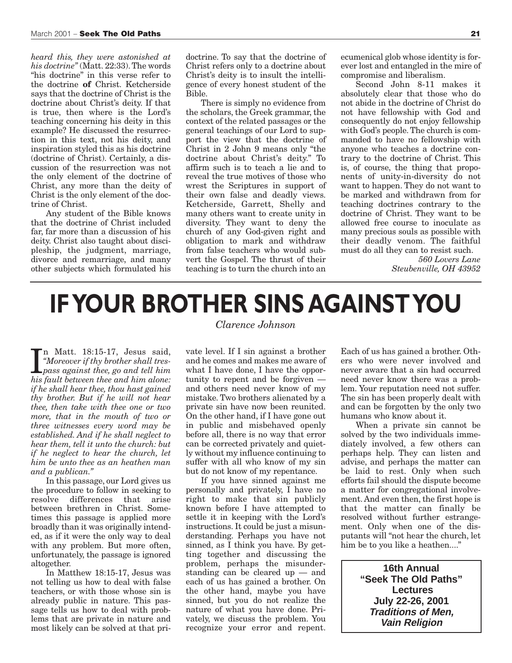*heard this, they were astonished at his doctrine"* (Matt. 22:33). The words "his doctrine" in this verse refer to the doctrine **of** Christ. Ketcherside says that the doctrine of Christ is the doctrine about Christ's deity. If that is true, then where is the Lord's teaching concerning his deity in this example? He discussed the resurrection in this text, not his deity, and inspiration styled this as his doctrine (doctrine of Christ). Certainly, a discussion of the resurrection was not the only element of the doctrine of Christ, any more than the deity of Christ is the only element of the doctrine of Christ.

Any student of the Bible knows that the doctrine of Christ included far, far more than a discussion of his deity. Christ also taught about discipleship, the judgment, marriage, divorce and remarriage, and many other subjects which formulated his doctrine. To say that the doctrine of Christ refers only to a doctrine about Christ's deity is to insult the intelligence of every honest student of the Bible.

There is simply no evidence from the scholars, the Greek grammar, the context of the related passages or the general teachings of our Lord to support the view that the doctrine of Christ in 2 John 9 means only "the doctrine about Christ's deity." To affirm such is to teach a lie and to reveal the true motives of those who wrest the Scriptures in support of their own false and deadly views. Ketcherside, Garrett, Shelly and many others want to create unity in diversity. They want to deny the church of any God-given right and obligation to mark and withdraw from false teachers who would subvert the Gospel. The thrust of their teaching is to turn the church into an

ecumenical glob whose identity is forever lost and entangled in the mire of compromise and liberalism.

Second John 8-11 makes it absolutely clear that those who do not abide in the doctrine of Christ do not have fellowship with God and consequently do not enjoy fellowship with God's people. The church is commanded to have no fellowship with anyone who teaches a doctrine contrary to the doctrine of Christ. This is, of course, the thing that proponents of unity-in-diversity do not want to happen. They do not want to be marked and withdrawn from for teaching doctrines contrary to the doctrine of Christ. They want to be allowed free course to inoculate as many precious souls as possible with their deadly venom. The faithful must do all they can to resist such.

> *560 Lovers Lane Steubenville, OH 43952*

# **IF YOUR BROTHER SINS AGAINST YOU**

In Matt. 18:15-17, Jesus said,<br>
"Moreover if thy brother shall tres-<br>
pass against thee, go and tell him<br>
his fault between thee and him alone: n Matt. 18:15-17, Jesus said, *"Moreover if thy brother shall treshis fault between thee and him alone: if he shall hear thee, thou hast gained thy brother. But if he will not hear thee, then take with thee one or two more, that in the mouth of two or three witnesses every word may be established. And if he shall neglect to hear them, tell it unto the church: but if he neglect to hear the church, let him be unto thee as an heathen man and a publican."*

In this passage, our Lord gives us the procedure to follow in seeking to resolve differences that arise between brethren in Christ. Sometimes this passage is applied more broadly than it was originally intended, as if it were the only way to deal with any problem. But more often, unfortunately, the passage is ignored altogether.

In Matthew 18:15-17, Jesus was not telling us how to deal with false teachers, or with those whose sin is already public in nature. This passage tells us how to deal with problems that are private in nature and most likely can be solved at that pri*Clarence Johnson* 

vate level. If I sin against a brother and he comes and makes me aware of what I have done, I have the opportunity to repent and be forgiven and others need never know of my mistake. Two brothers alienated by a private sin have now been reunited. On the other hand, if I have gone out in public and misbehaved openly before all, there is no way that error can be corrected privately and quietly without my influence continuing to suffer with all who know of my sin but do not know of my repentance.

If you have sinned against me personally and privately, I have no right to make that sin publicly known before I have attempted to settle it in keeping with the Lord's instructions. It could be just a misunderstanding. Perhaps you have not sinned, as  $\check{I}$  think you have. By getting together and discussing the problem, perhaps the misunderstanding can be cleared up — and each of us has gained a brother. On the other hand, maybe you have sinned, but you do not realize the nature of what you have done. Privately, we discuss the problem. You recognize your error and repent.

Each of us has gained a brother. Others who were never involved and never aware that a sin had occurred need never know there was a problem. Your reputation need not suffer. The sin has been properly dealt with and can be forgotten by the only two humans who know about it.

When a private sin cannot be solved by the two individuals immediately involved, a few others can perhaps help. They can listen and advise, and perhaps the matter can be laid to rest. Only when such efforts fail should the dispute become a matter for congregational involvement. And even then, the first hope is that the matter can finally be resolved without further estrangement. Only when one of the disputants will "not hear the church, let him be to you like a heathen...."

> **16th Annual "Seek The Old Paths" Lectures July 22-26, 2001 Traditions of Men, Vain Religion**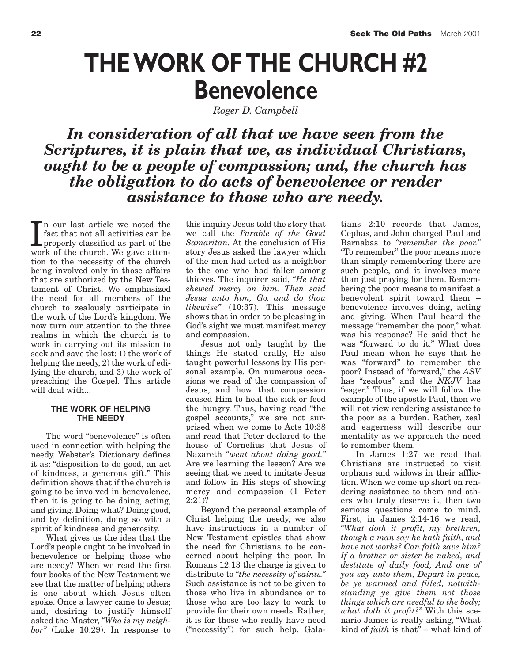# **THE WORK OF THE CHURCH #2 Benevolence**

*Roger D. Campbell* 

*In consideration of all that we have seen from the Scriptures, it is plain that we, as individual Christians, ought to be a people of compassion; and, the church has the obligation to do acts of benevolence or render assistance to those who are needy.*

In our last article we noted the fact that not all activities can be properly classified as part of the work of the church. We gave attenn our last article we noted the fact that not all activities can be properly classified as part of the tion to the necessity of the church being involved only in those affairs that are authorized by the New Testament of Christ. We emphasized the need for all members of the church to zealously participate in the work of the Lord's kingdom. We now turn our attention to the three realms in which the church is to work in carrying out its mission to seek and save the lost: 1) the work of helping the needy, 2) the work of edifying the church, and 3) the work of preaching the Gospel. This article will deal with...

#### **THE WORK OF HELPING THE NEEDY**

The word "benevolence" is often used in connection with helping the needy. Webster's Dictionary defines it as: "disposition to do good, an act of kindness, a generous gift." This definition shows that if the church is going to be involved in benevolence, then it is going to be doing, acting, and giving. Doing what? Doing good, and by definition, doing so with a spirit of kindness and generosity.

What gives us the idea that the Lord's people ought to be involved in benevolence or helping those who are needy? When we read the first four books of the New Testament we see that the matter of helping others is one about which Jesus often spoke. Once a lawyer came to Jesus; and, desiring to justify himself asked the Master, *"Who is my neighbor"* (Luke 10:29). In response to

this inquiry Jesus told the story that we call the *Parable of the Good Samaritan.* At the conclusion of His story Jesus asked the lawyer which of the men had acted as a neighbor to the one who had fallen among thieves. The inquirer said, *"He that shewed mercy on him. Then said Jesus unto him, Go, and do thou likewise"* (10:37). This message shows that in order to be pleasing in God's sight we must manifest mercy and compassion.

Jesus not only taught by the things He stated orally, He also taught powerful lessons by His personal example. On numerous occasions we read of the compassion of Jesus, and how that compassion caused Him to heal the sick or feed the hungry. Thus, having read "the gospel accounts," we are not surprised when we come to Acts 10:38 and read that Peter declared to the house of Cornelius that Jesus of Nazareth *"went about doing good."* Are we learning the lesson? Are we seeing that we need to imitate Jesus and follow in His steps of showing mercy and compassion (1 Peter 2:21)?

Beyond the personal example of Christ helping the needy, we also have instructions in a number of New Testament epistles that show the need for Christians to be concerned about helping the poor. In Romans 12:13 the charge is given to distribute to *"the necessity of saints."* Such assistance is not to be given to those who live in abundance or to those who are too lazy to work to provide for their own needs. Rather, it is for those who really have need ("necessity") for such help. Galatians 2:10 records that James, Cephas, and John charged Paul and Barnabas to *"remember the poor."* "To remember" the poor means more than simply remembering there are such people, and it involves more than just praying for them. Remembering the poor means to manifest a benevolent spirit toward them – benevolence involves doing, acting and giving. When Paul heard the message "remember the poor," what was his response? He said that he was "forward to do it." What does Paul mean when he says that he was "forward" to remember the poor? Instead of "forward," the *ASV* has "zealous" and the *NKJV* has "eager." Thus, if we will follow the example of the apostle Paul, then we will not view rendering assistance to the poor as a burden. Rather, zeal and eagerness will describe our mentality as we approach the need to remember them.

In James 1:27 we read that Christians are instructed to visit orphans and widows in their affliction. When we come up short on rendering assistance to them and others who truly deserve it, then two serious questions come to mind. First, in James 2:14-16 we read, *"What doth it profit, my brethren, though a man say he hath faith, and have not works? Can faith save him? If a brother or sister be naked, and destitute of daily food, And one of you say unto them, Depart in peace, be ye warmed and filled, notwithstanding ye give them not those things which are needful to the body; what doth it profit?"* With this scenario James is really asking, "What kind of *faith* is that" – what kind of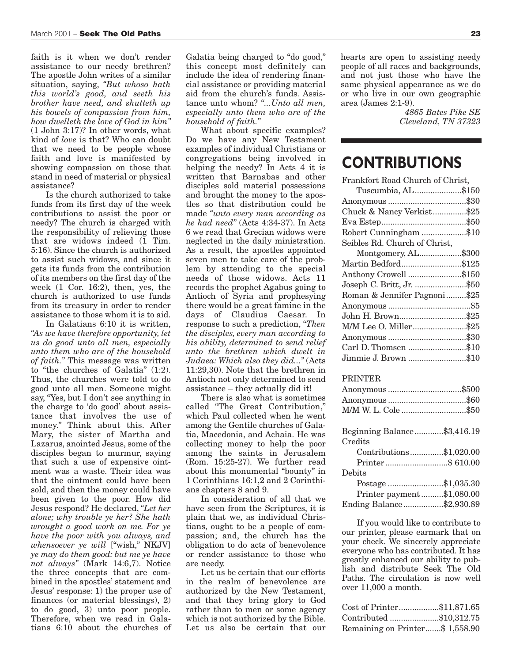faith is it when we don't render assistance to our needy brethren? The apostle John writes of a similar situation, saying, *"But whoso hath this world's good, and seeth his brother have need, and shutteth up his bowels of compassion from him, how dwelleth the love of God in him"* (1 John 3:17)? In other words, what kind of *love* is that? Who can doubt that we need to be people whose faith and love is manifested by showing compassion on those that stand in need of material or physical assistance?

Is the church authorized to take funds from its first day of the week contributions to assist the poor or needy? The church is charged with the responsibility of relieving those that are widows indeed (1 Tim. 5:16). Since the church is authorized to assist such widows, and since it gets its funds from the contribution of its members on the first day of the week (1 Cor. 16:2), then, yes, the church is authorized to use funds from its treasury in order to render assistance to those whom it is to aid.

In Galatians 6:10 it is written, *"As we have therefore opportunity, let us do good unto all men, especially unto them who are of the household of faith."* This message was written to "the churches of Galatia" (1:2). Thus, the churches were told to do good unto all men. Someone might say, "Yes, but I don't see anything in the charge to 'do good' about assistance that involves the use of money." Think about this. After Mary, the sister of Martha and Lazarus, anointed Jesus, some of the disciples began to murmur, saying that such a use of expensive ointment was a waste. Their idea was that the ointment could have been sold, and then the money could have been given to the poor. How did Jesus respond? He declared, *"Let her alone; why trouble ye her? She hath wrought a good work on me. For ye have the poor with you always, and whensoever ye will* ["wish," NKJV] *ye may do them good: but me ye have not always"* (Mark 14:6,7). Notice the three concepts that are combined in the apostles' statement and Jesus' response: 1) the proper use of finances (or material blessings), 2) to do good, 3) unto poor people. Therefore, when we read in Galatians 6:10 about the churches of

Galatia being charged to "do good," this concept most definitely can include the idea of rendering financial assistance or providing material aid from the church's funds. Assistance unto whom? *"...Unto all men, especially unto them who are of the household of faith."*

What about specific examples? Do we have any New Testament examples of individual Christians or congregations being involved in helping the needy? In Acts 4 it is written that Barnabas and other disciples sold material possessions and brought the money to the apostles so that distribution could be made *"unto every man according as he had need"* (Acts 4:34-37). In Acts 6 we read that Grecian widows were neglected in the daily ministration. As a result, the apostles appointed seven men to take care of the problem by attending to the special needs of those widows. Acts 11 records the prophet Agabus going to Antioch of Syria and prophesying there would be a great famine in the days of Claudius Caesar. In response to such a prediction, *"Then the disciples, every man according to his ability, determined to send relief unto the brethren which dwelt in Judaea: Which also they did..."* (Acts 11:29,30). Note that the brethren in Antioch not only determined to send assistance – they actually did it!

There is also what is sometimes called "The Great Contribution," which Paul collected when he went among the Gentile churches of Galatia, Macedonia, and Achaia. He was collecting money to help the poor among the saints in Jerusalem (Rom. 15:25-27). We further read about this monumental "bounty" in 1 Corinthians 16:1,2 and 2 Corinthians chapters 8 and 9.

In consideration of all that we have seen from the Scriptures, it is plain that we, as individual Christians, ought to be a people of compassion; and, the church has the obligation to do acts of benevolence or render assistance to those who are needy.

Let us be certain that our efforts in the realm of benevolence are authorized by the New Testament, and that they bring glory to God rather than to men or some agency which is not authorized by the Bible. Let us also be certain that our hearts are open to assisting needy people of all races and backgrounds, and not just those who have the same physical appearance as we do or who live in our own geographic area (James 2:1-9).

> *4865 Bates Pike SE Cleveland, TN 37323*

## **CONTRIBUTIONS**

| Frankfort Road Church of Christ, |  |
|----------------------------------|--|
| Tuscumbia, AL\$150               |  |
|                                  |  |
| Chuck & Nancy Verkist\$25        |  |
|                                  |  |
| Robert Cunningham \$10           |  |
| Seibles Rd. Church of Christ,    |  |
| Montgomery, AL\$300              |  |
| Martin Bedford\$125              |  |
| Anthony Crowell \$150            |  |
| Joseph C. Britt, Jr. \$50        |  |
| Roman & Jennifer Pagnoni\$25     |  |
|                                  |  |
| John H. Brown\$25                |  |
| M/M Lee O. Miller\$25            |  |
|                                  |  |
| Carl D. Thomsen \$10             |  |
| Jimmie J. Brown \$10             |  |
|                                  |  |
| DDI3 MUTT                        |  |

### PRINTER

| Anonymous \$500                                                                                                                                                                                                                                                                                                                                                                                                                                                                                                                                    |  |
|----------------------------------------------------------------------------------------------------------------------------------------------------------------------------------------------------------------------------------------------------------------------------------------------------------------------------------------------------------------------------------------------------------------------------------------------------------------------------------------------------------------------------------------------------|--|
|                                                                                                                                                                                                                                                                                                                                                                                                                                                                                                                                                    |  |
| M/M W. L. Cole \$50                                                                                                                                                                                                                                                                                                                                                                                                                                                                                                                                |  |
|                                                                                                                                                                                                                                                                                                                                                                                                                                                                                                                                                    |  |
| Beginning Balance\$3,416.19                                                                                                                                                                                                                                                                                                                                                                                                                                                                                                                        |  |
| Credits                                                                                                                                                                                                                                                                                                                                                                                                                                                                                                                                            |  |
| Contributions\$1,020.00                                                                                                                                                                                                                                                                                                                                                                                                                                                                                                                            |  |
|                                                                                                                                                                                                                                                                                                                                                                                                                                                                                                                                                    |  |
| Debits                                                                                                                                                                                                                                                                                                                                                                                                                                                                                                                                             |  |
| $\textbf{Postage}\, \textcolor{red}{\dotsc} \textcolor{red}{\dotsc} \textcolor{red}{\dotsc} \textcolor{red}{\dotsc} \textcolor{red}{\dotsc} \textcolor{red}{\dotsc} \textcolor{red}{\dotsc} \textcolor{red}{\dotsc} \textcolor{red}{\dotsc} \textcolor{red}{\dotsc} \textcolor{red}{\dotsc} \textcolor{red}{\dotsc} \textcolor{red}{\dotsc} \textcolor{red}{\dotsc} \textcolor{red}{\dotsc} \textcolor{red}{\dotsc} \textcolor{red}{\dotsc} \textcolor{red}{\dotsc} \textcolor{red}{\dotsc} \textcolor{red}{\dotsc} \textcolor{red}{\dotsc} \text$ |  |
| Printer payment\$1,080.00                                                                                                                                                                                                                                                                                                                                                                                                                                                                                                                          |  |
| Ending Balance\$2,930.89                                                                                                                                                                                                                                                                                                                                                                                                                                                                                                                           |  |

If you would like to contribute to our printer, please earmark that on your check. We sincerely appreciate everyone who has contributed. It has greatly enhanced our ability to publish and distribute Seek The Old Paths. The circulation is now well over 11,000 a month.

| Cost of Printer\$11,871.65      |  |
|---------------------------------|--|
| Contributed \$10,312.75         |  |
| Remaining on Printer\$ 1,558.90 |  |